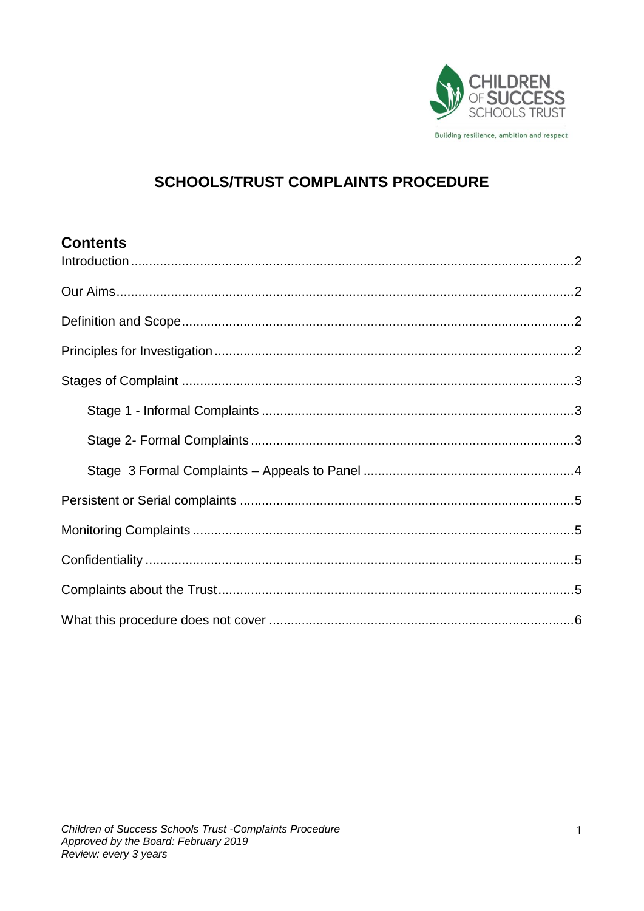

# **SCHOOLS/TRUST COMPLAINTS PROCEDURE**

## **Contents**

<span id="page-0-0"></span>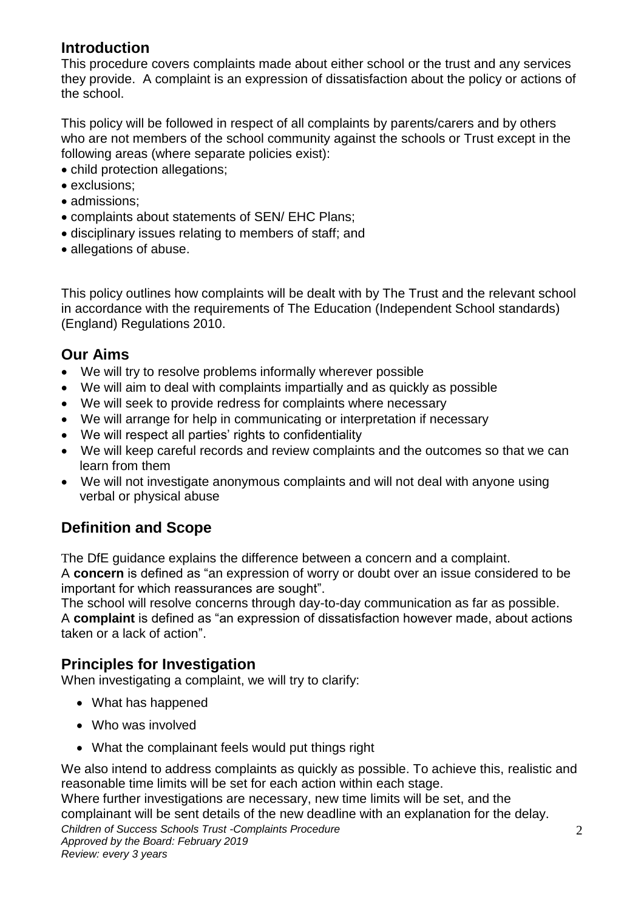## **Introduction**

This procedure covers complaints made about either school or the trust and any services they provide. A complaint is an expression of dissatisfaction about the policy or actions of the school.

This policy will be followed in respect of all complaints by parents/carers and by others who are not members of the school community against the schools or Trust except in the following areas (where separate policies exist):

- child protection allegations:
- exclusions;
- admissions:
- complaints about statements of SEN/ EHC Plans;
- disciplinary issues relating to members of staff; and
- allegations of abuse.

This policy outlines how complaints will be dealt with by The Trust and the relevant school in accordance with the requirements of The Education (Independent School standards) (England) Regulations 2010.

## <span id="page-1-0"></span>**Our Aims**

- We will try to resolve problems informally wherever possible
- We will aim to deal with complaints impartially and as quickly as possible
- We will seek to provide redress for complaints where necessary
- We will arrange for help in communicating or interpretation if necessary
- We will respect all parties' rights to confidentiality
- We will keep careful records and review complaints and the outcomes so that we can learn from them
- We will not investigate anonymous complaints and will not deal with anyone using verbal or physical abuse

## <span id="page-1-1"></span>**Definition and Scope**

The DfE guidance explains the difference between a concern and a complaint.

A **concern** is defined as "an expression of worry or doubt over an issue considered to be important for which reassurances are sought".

The school will resolve concerns through day-to-day communication as far as possible. A **complaint** is defined as "an expression of dissatisfaction however made, about actions taken or a lack of action".

## <span id="page-1-2"></span>**Principles for Investigation**

When investigating a complaint, we will try to clarify:

- What has happened
- Who was involved
- What the complainant feels would put things right

We also intend to address complaints as quickly as possible. To achieve this, realistic and reasonable time limits will be set for each action within each stage.

*Children of Success Schools Trust -Complaints Procedure* Where further investigations are necessary, new time limits will be set, and the complainant will be sent details of the new deadline with an explanation for the delay.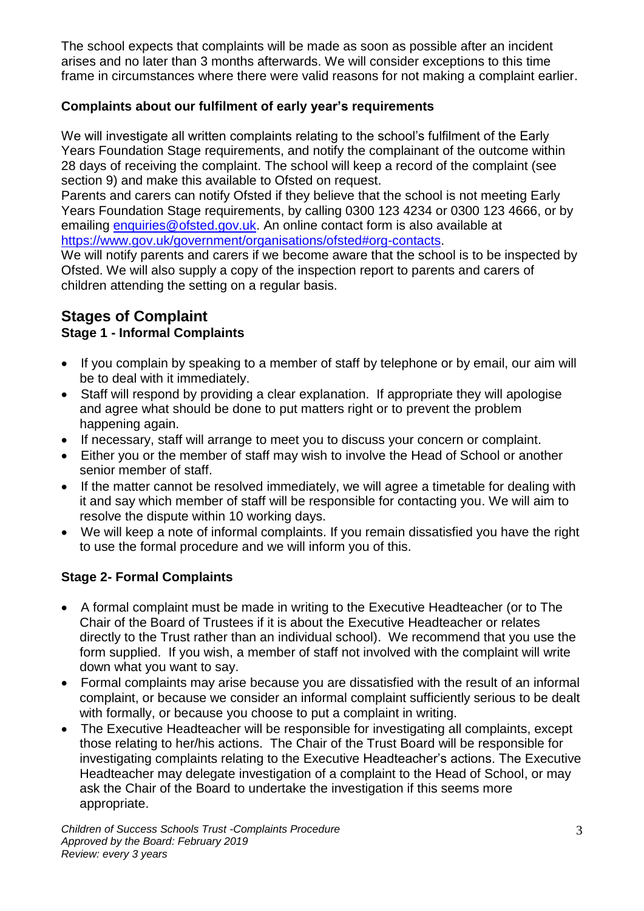The school expects that complaints will be made as soon as possible after an incident arises and no later than 3 months afterwards. We will consider exceptions to this time frame in circumstances where there were valid reasons for not making a complaint earlier.

#### **Complaints about our fulfilment of early year's requirements**

We will investigate all written complaints relating to the school's fulfilment of the Early Years Foundation Stage requirements, and notify the complainant of the outcome within 28 days of receiving the complaint. The school will keep a record of the complaint (see section 9) and make this available to Ofsted on request.

Parents and carers can notify Ofsted if they believe that the school is not meeting Early Years Foundation Stage requirements, by calling 0300 123 4234 or 0300 123 4666, or by emailing [enquiries@ofsted.gov.uk.](mailto:enquiries@ofsted.gov.uk) An online contact form is also available at [https://www.gov.uk/government/organisations/ofsted#org-contacts.](https://www.gov.uk/government/organisations/ofsted#org-contacts)

We will notify parents and carers if we become aware that the school is to be inspected by Ofsted. We will also supply a copy of the inspection report to parents and carers of children attending the setting on a regular basis.

# <span id="page-2-0"></span>**Stages of Complaint**

### <span id="page-2-1"></span>**Stage 1 - Informal Complaints**

- If you complain by speaking to a member of staff by telephone or by email, our aim will be to deal with it immediately.
- Staff will respond by providing a clear explanation. If appropriate they will apologise and agree what should be done to put matters right or to prevent the problem happening again.
- If necessary, staff will arrange to meet you to discuss your concern or complaint.
- Either you or the member of staff may wish to involve the Head of School or another senior member of staff.
- If the matter cannot be resolved immediately, we will agree a timetable for dealing with it and say which member of staff will be responsible for contacting you. We will aim to resolve the dispute within 10 working days.
- We will keep a note of informal complaints. If you remain dissatisfied you have the right to use the formal procedure and we will inform you of this.

#### <span id="page-2-2"></span>**Stage 2- Formal Complaints**

- A formal complaint must be made in writing to the Executive Headteacher (or to The Chair of the Board of Trustees if it is about the Executive Headteacher or relates directly to the Trust rather than an individual school). We recommend that you use the form supplied. If you wish, a member of staff not involved with the complaint will write down what you want to say.
- Formal complaints may arise because you are dissatisfied with the result of an informal complaint, or because we consider an informal complaint sufficiently serious to be dealt with formally, or because you choose to put a complaint in writing.
- The Executive Headteacher will be responsible for investigating all complaints, except those relating to her/his actions. The Chair of the Trust Board will be responsible for investigating complaints relating to the Executive Headteacher's actions. The Executive Headteacher may delegate investigation of a complaint to the Head of School, or may ask the Chair of the Board to undertake the investigation if this seems more appropriate.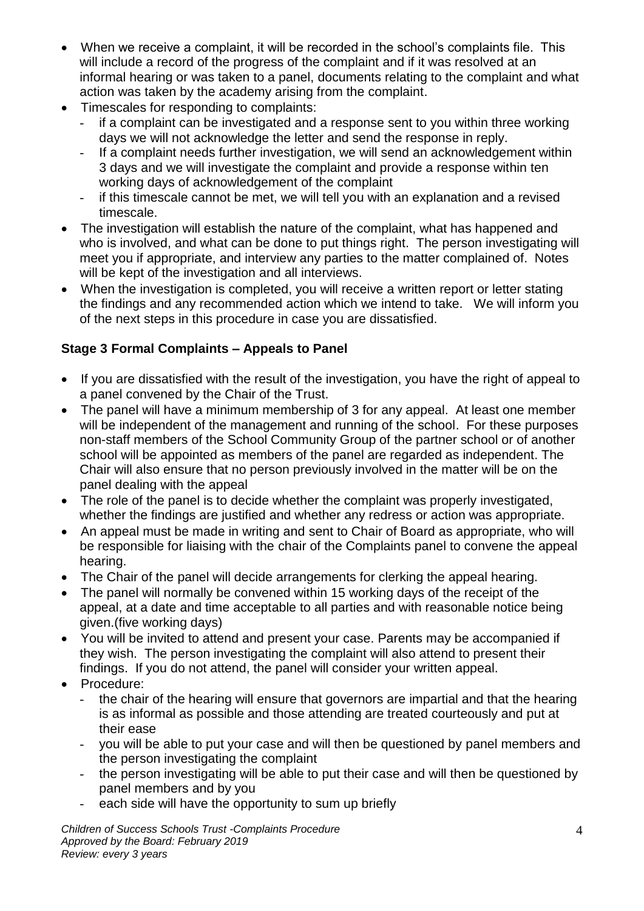- When we receive a complaint, it will be recorded in the school's complaints file. This will include a record of the progress of the complaint and if it was resolved at an informal hearing or was taken to a panel, documents relating to the complaint and what action was taken by the academy arising from the complaint.
- Timescales for responding to complaints:
	- if a complaint can be investigated and a response sent to you within three working days we will not acknowledge the letter and send the response in reply.
	- If a complaint needs further investigation, we will send an acknowledgement within 3 days and we will investigate the complaint and provide a response within ten working days of acknowledgement of the complaint
	- if this timescale cannot be met, we will tell you with an explanation and a revised timescale.
- The investigation will establish the nature of the complaint, what has happened and who is involved, and what can be done to put things right. The person investigating will meet you if appropriate, and interview any parties to the matter complained of. Notes will be kept of the investigation and all interviews.
- When the investigation is completed, you will receive a written report or letter stating the findings and any recommended action which we intend to take. We will inform you of the next steps in this procedure in case you are dissatisfied.

## <span id="page-3-0"></span>**Stage 3 Formal Complaints – Appeals to Panel**

- If you are dissatisfied with the result of the investigation, you have the right of appeal to a panel convened by the Chair of the Trust.
- The panel will have a minimum membership of 3 for any appeal. At least one member will be independent of the management and running of the school. For these purposes non-staff members of the School Community Group of the partner school or of another school will be appointed as members of the panel are regarded as independent. The Chair will also ensure that no person previously involved in the matter will be on the panel dealing with the appeal
- The role of the panel is to decide whether the complaint was properly investigated, whether the findings are justified and whether any redress or action was appropriate.
- An appeal must be made in writing and sent to Chair of Board as appropriate, who will be responsible for liaising with the chair of the Complaints panel to convene the appeal hearing.
- The Chair of the panel will decide arrangements for clerking the appeal hearing.
- The panel will normally be convened within 15 working days of the receipt of the appeal, at a date and time acceptable to all parties and with reasonable notice being given.(five working days)
- You will be invited to attend and present your case. Parents may be accompanied if they wish. The person investigating the complaint will also attend to present their findings. If you do not attend, the panel will consider your written appeal.
- Procedure:
	- the chair of the hearing will ensure that governors are impartial and that the hearing is as informal as possible and those attending are treated courteously and put at their ease
	- you will be able to put your case and will then be questioned by panel members and the person investigating the complaint
	- the person investigating will be able to put their case and will then be questioned by panel members and by you
	- each side will have the opportunity to sum up briefly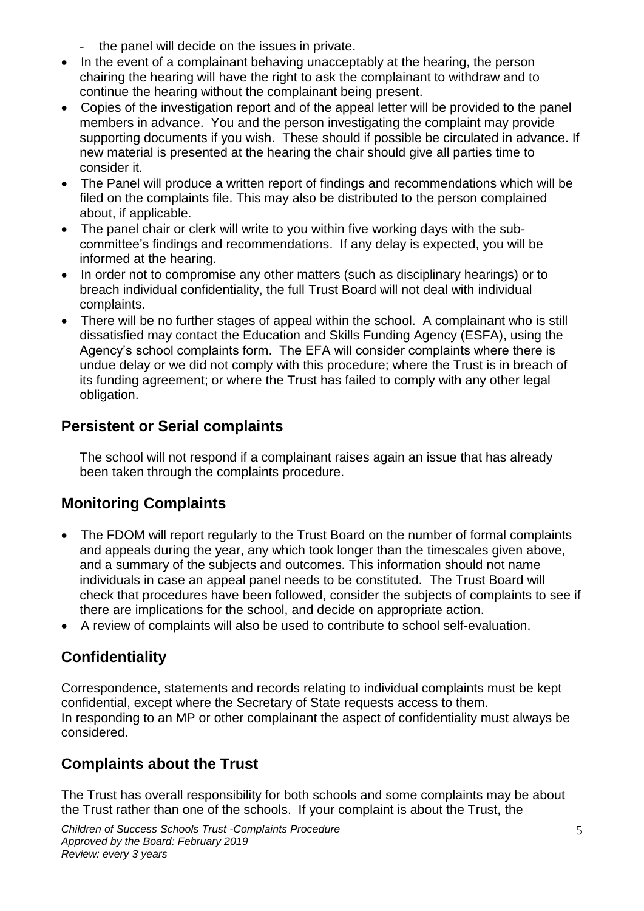- the panel will decide on the issues in private.
- In the event of a complainant behaving unacceptably at the hearing, the person chairing the hearing will have the right to ask the complainant to withdraw and to continue the hearing without the complainant being present.
- Copies of the investigation report and of the appeal letter will be provided to the panel members in advance. You and the person investigating the complaint may provide supporting documents if you wish. These should if possible be circulated in advance. If new material is presented at the hearing the chair should give all parties time to consider it.
- The Panel will produce a written report of findings and recommendations which will be filed on the complaints file. This may also be distributed to the person complained about, if applicable.
- The panel chair or clerk will write to you within five working days with the subcommittee's findings and recommendations. If any delay is expected, you will be informed at the hearing.
- In order not to compromise any other matters (such as disciplinary hearings) or to breach individual confidentiality, the full Trust Board will not deal with individual complaints.
- There will be no further stages of appeal within the school. A complainant who is still dissatisfied may contact the Education and Skills Funding Agency (ESFA), using the Agency's school complaints form. The EFA will consider complaints where there is undue delay or we did not comply with this procedure; where the Trust is in breach of its funding agreement; or where the Trust has failed to comply with any other legal obligation.

# <span id="page-4-0"></span>**Persistent or Serial complaints**

The school will not respond if a complainant raises again an issue that has already been taken through the complaints procedure.

# <span id="page-4-1"></span>**Monitoring Complaints**

- The FDOM will report regularly to the Trust Board on the number of formal complaints and appeals during the year, any which took longer than the timescales given above, and a summary of the subjects and outcomes. This information should not name individuals in case an appeal panel needs to be constituted. The Trust Board will check that procedures have been followed, consider the subjects of complaints to see if there are implications for the school, and decide on appropriate action.
- A review of complaints will also be used to contribute to school self-evaluation.

# <span id="page-4-2"></span>**Confidentiality**

Correspondence, statements and records relating to individual complaints must be kept confidential, except where the Secretary of State requests access to them. In responding to an MP or other complainant the aspect of confidentiality must always be considered.

# <span id="page-4-3"></span>**Complaints about the Trust**

The Trust has overall responsibility for both schools and some complaints may be about the Trust rather than one of the schools. If your complaint is about the Trust, the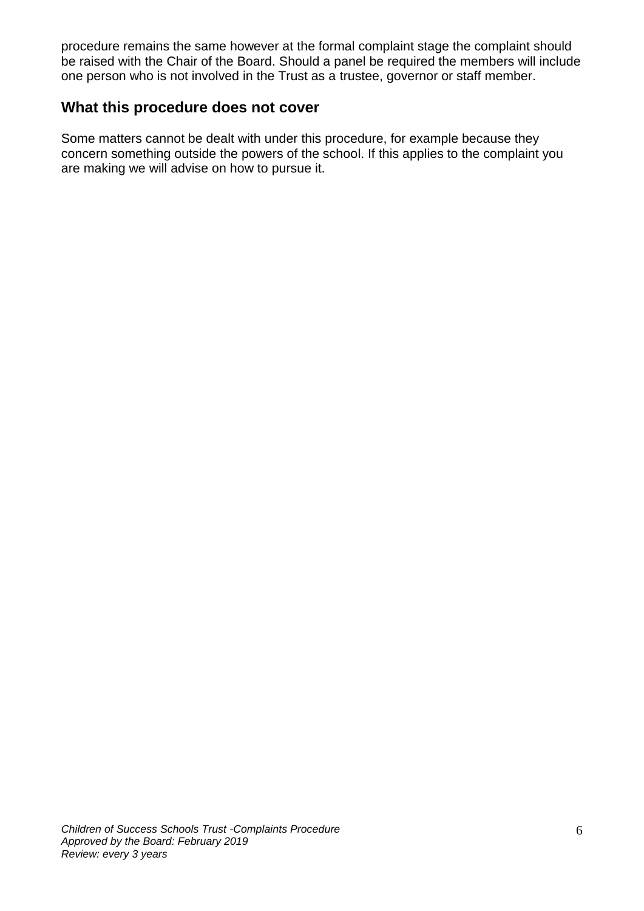procedure remains the same however at the formal complaint stage the complaint should be raised with the Chair of the Board. Should a panel be required the members will include one person who is not involved in the Trust as a trustee, governor or staff member.

#### <span id="page-5-0"></span>**What this procedure does not cover**

Some matters cannot be dealt with under this procedure, for example because they concern something outside the powers of the school. If this applies to the complaint you are making we will advise on how to pursue it.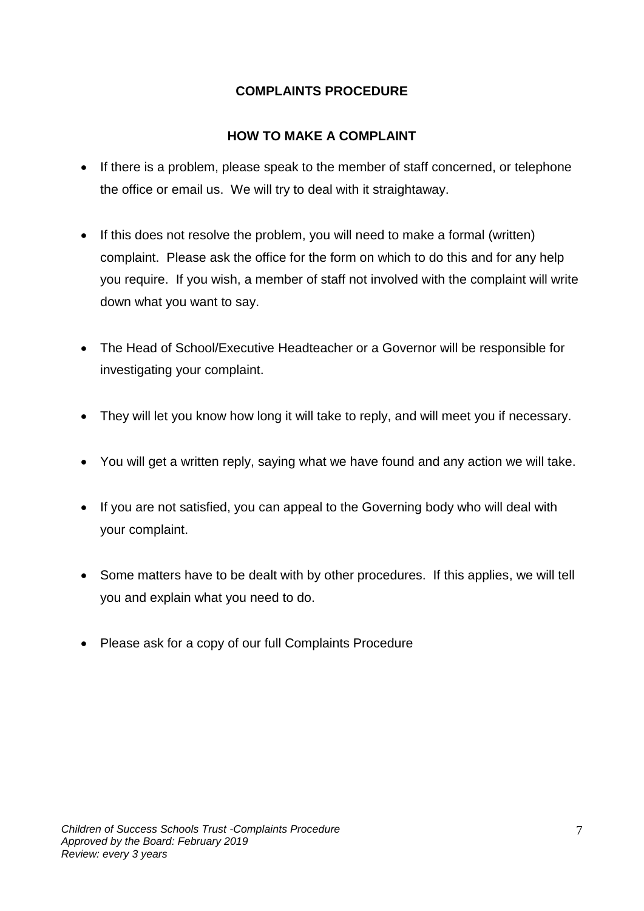#### **COMPLAINTS PROCEDURE**

#### **HOW TO MAKE A COMPLAINT**

- If there is a problem, please speak to the member of staff concerned, or telephone the office or email us. We will try to deal with it straightaway.
- If this does not resolve the problem, you will need to make a formal (written) complaint. Please ask the office for the form on which to do this and for any help you require. If you wish, a member of staff not involved with the complaint will write down what you want to say.
- The Head of School/Executive Headteacher or a Governor will be responsible for investigating your complaint.
- They will let you know how long it will take to reply, and will meet you if necessary.
- You will get a written reply, saying what we have found and any action we will take.
- If you are not satisfied, you can appeal to the Governing body who will deal with your complaint.
- Some matters have to be dealt with by other procedures. If this applies, we will tell you and explain what you need to do.
- Please ask for a copy of our full Complaints Procedure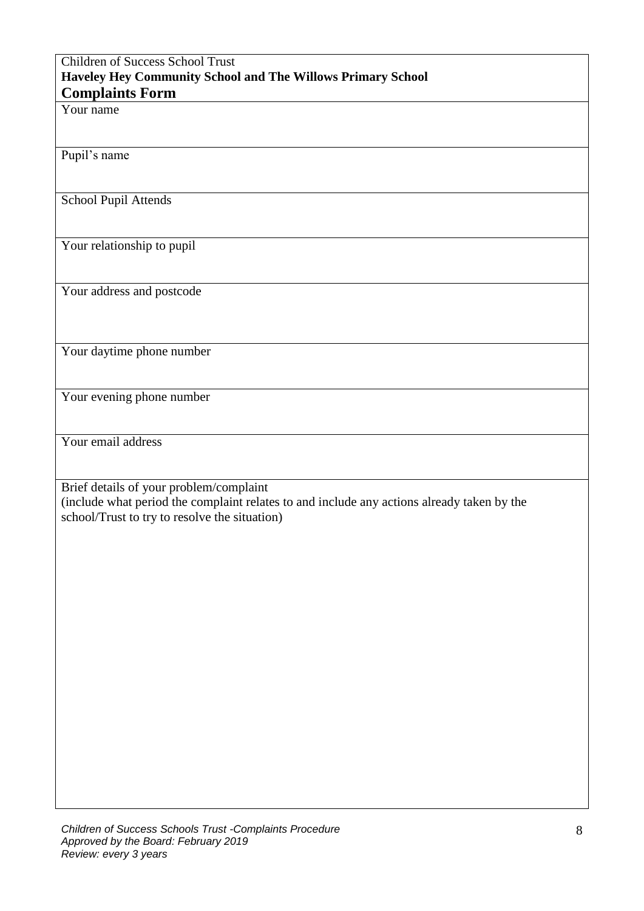#### Children of Success School Trust **Haveley Hey Community School and The Willows Primary School Complaints Form**

Your name

Pupil's name

School Pupil Attends

Your relationship to pupil

Your address and postcode

Your daytime phone number

Your evening phone number

Your email address

Brief details of your problem/complaint

(include what period the complaint relates to and include any actions already taken by the school/Trust to try to resolve the situation)